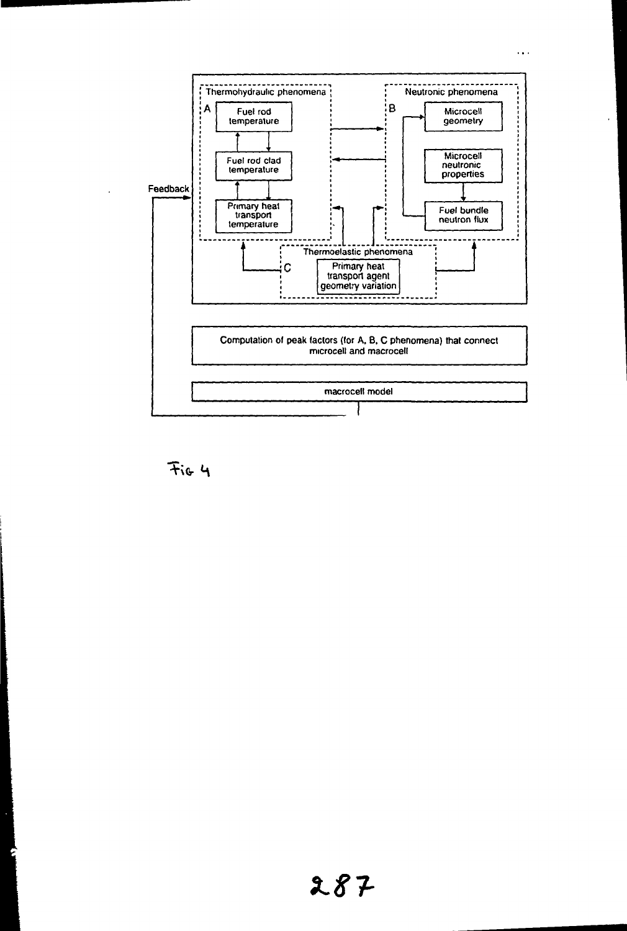

Fig 4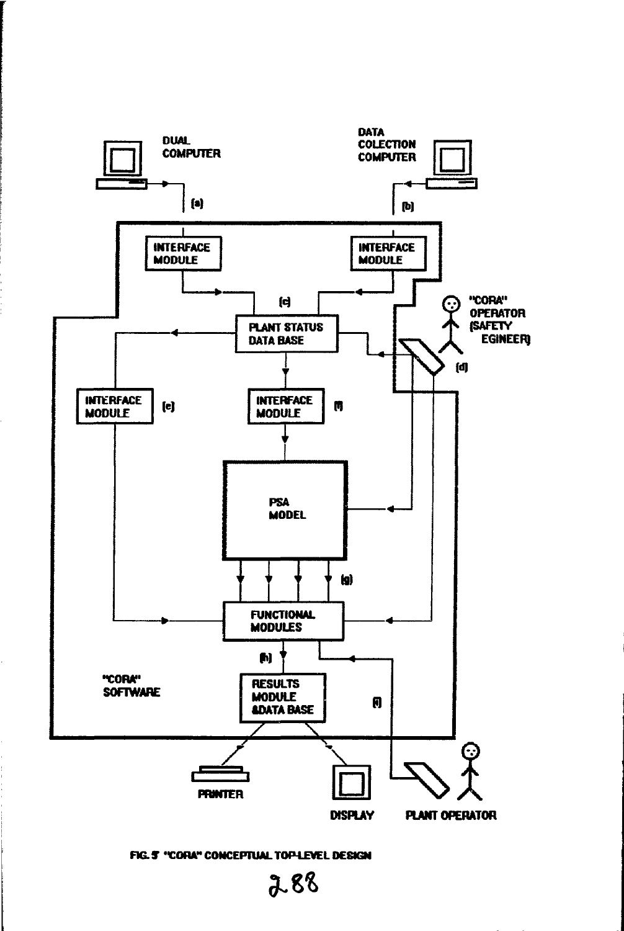

FIG. 5 "CORA" CONCEPTUAL TOP-LEVEL DESIGN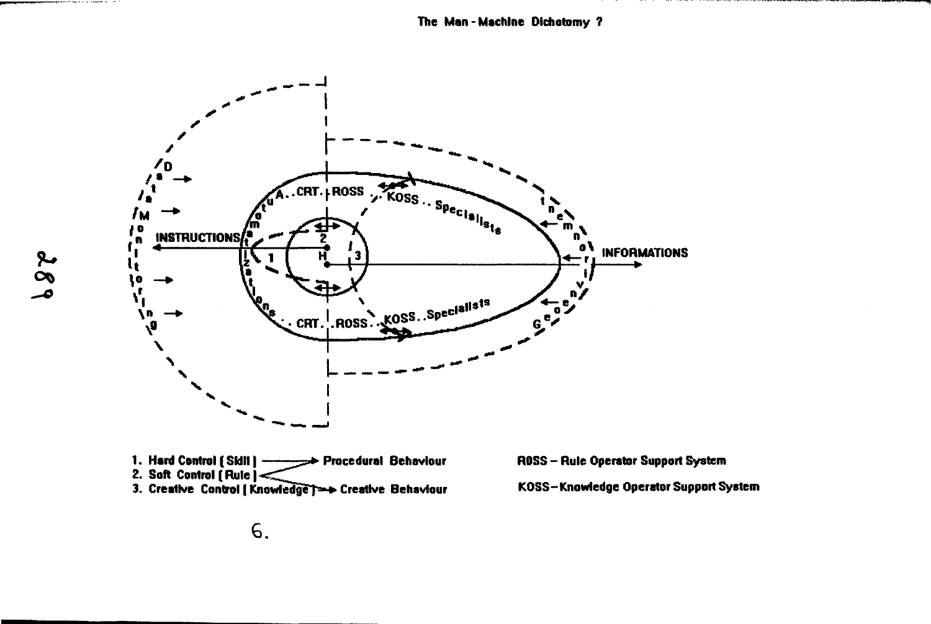

- 1. Hard Control [SIdII] -Procedural Behaviour
- 2. Soft Control  $[Rule] \leq$
- 3. Creative Control | Knowledge | == > Creative Behaviour

ROSS - Rule Operator Support System

KOSS-Knowledge Operator Support System

\_\_\_\_\_

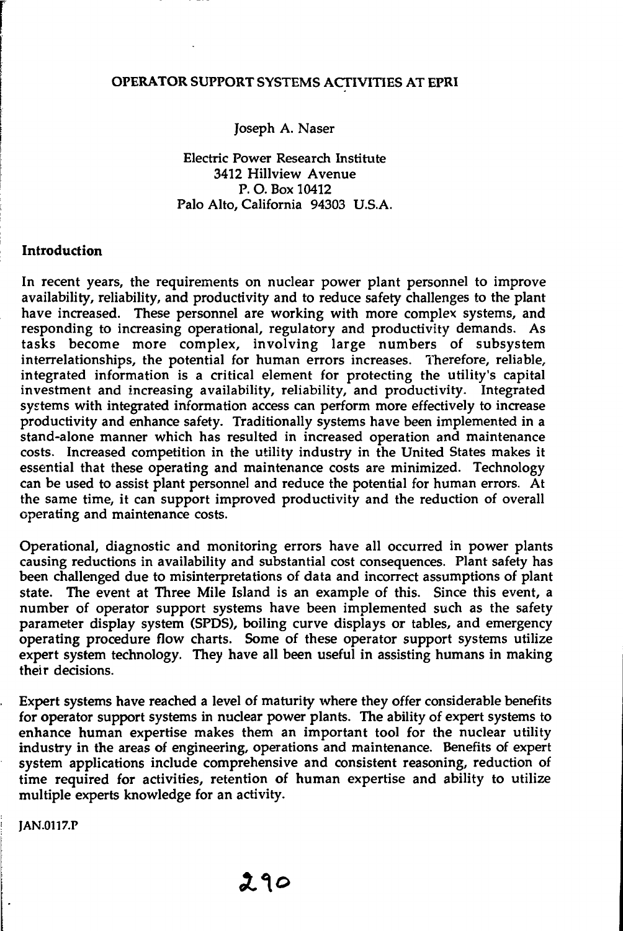#### OPERATOR SUPPORT SYSTEMS ACTIVITIES AT EPRI

Joseph A. Naser

Electric Power Research Institute 3412 Hillview Avenue P. O. Box 10412 Palo Alto, California 94303 U.S.A.

#### Introduction

In recent years, the requirements on nuclear power plant personnel to improve availability, reliability, and productivity and to reduce safety challenges to the plant have increased. These personnel are working with more complex systems, and responding to increasing operational, regulatory and productivity demands. As tasks become more complex, involving large numbers of subsystem interrelationships, the potential for human errors increases. Therefore, reliable, integrated information is a critical element for protecting the utility's capital investment and increasing availability, reliability, and productivity. Integrated systems with integrated information access can perform more effectively to increase productivity and enhance safety. Traditionally systems have been implemented in a stand-alone manner which has resulted in increased operation and maintenance costs. Increased competition in the utility industry in the United States makes it essential that these operating and maintenance costs are minimized. Technology can be used to assist plant personnel and reduce the potential for human errors. At the same time, it can support improved productivity and the reduction of overall operating and maintenance costs.

Operational, diagnostic and monitoring errors have all occurred in power plants causing reductions in availability and substantial cost consequences. Plant safety has been challenged due to misinterpretations of data and incorrect assumptions of plant state. The event at Three Mile Island is an example of this. Since this event, a number of operator support systems have been implemented such as the safety parameter display system (SPDS), boiling curve displays or tables, and emergency operating procedure flow charts. Some of these operator support systems utilize expert system technology. They have all been useful in assisting humans in making their decisions.

Expert systems have reached a level of maturity where they offer considerable benefits for operator support systems in nuclear power plants. The ability of expert systems to enhance human expertise makes them an important tool for the nuclear utility industry in the areas of engineering, operations and maintenance. Benefits of expert system applications include comprehensive and consistent reasoning, reduction of time required for activities, retention of human expertise and ability to utilize multiple experts knowledge for an activity.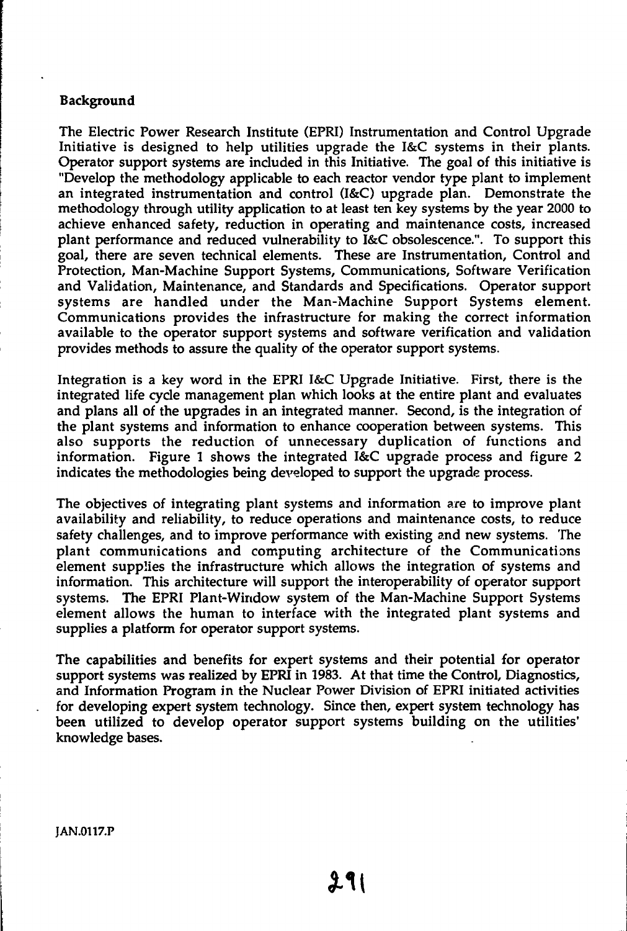### **Background**

The Electric Power Research Institute (EPRI) Instrumentation and Control Upgrade Initiative is designed to help utilities upgrade the I&C systems in their plants. Operator support systems are included in this Initiative. The goal of this initiative is "Develop the methodology applicable to each reactor vendor type plant to implement an integrated instrumentation and control (I&C) upgrade plan. Demonstrate the methodology through utility application to at least ten key systems by the year 2000 to achieve enhanced safety, reduction in operating and maintenance costs, increased plant performance and reduced vulnerability to I&C obsolescence.". To support this goal, there are seven technical elements. These are Instrumentation, Control and Protection, Man-Machine Support Systems, Communications, Software Verification and Validation, Maintenance, and Standards and Specifications. Operator support systems are handled under the Man-Machine Support Systems element. Communications provides the infrastructure for making the correct information available to the operator support systems and software verification and validation provides methods to assure the quality of the operator support systems.

Integration is a key word in the EPRI I&C Upgrade Initiative. First, there is the integrated life cycle management plan which looks at the entire plant and evaluates and plans all of the upgrades in an integrated manner. Second, is the integration of the plant systems and information to enhance cooperation between systems. This also supports the reduction of unnecessary duplication of functions and information. Figure 1 shows the integrated I&C upgrade process and figure 2 indicates the methodologies being developed to support the upgrade process.

The objectives of integrating plant systems and information are to improve plant availability and reliability, to reduce operations and maintenance costs, to reduce safety challenges, and to improve performance with existing and new systems. The plant communications and computing architecture of the Communications element supplies the infrastructure which allows the integration of systems and information. This architecture will support the interoperability of operator support systems. The EPRI Plant-Window system of the Man-Machine Support Systems element allows the human to interface with the integrated plant systems and supplies a platform for operator support systems.

The capabilities and benefits for expert systems and their potential for operator support systems was realized by EPRI in 1983. At that time the Control, Diagnostics, and Information Program in the Nuclear Power Division of EPRI initiated activities for developing expert system technology. Since then, expert system technology has been utilized to develop operator support systems building on the utilities' knowledge bases.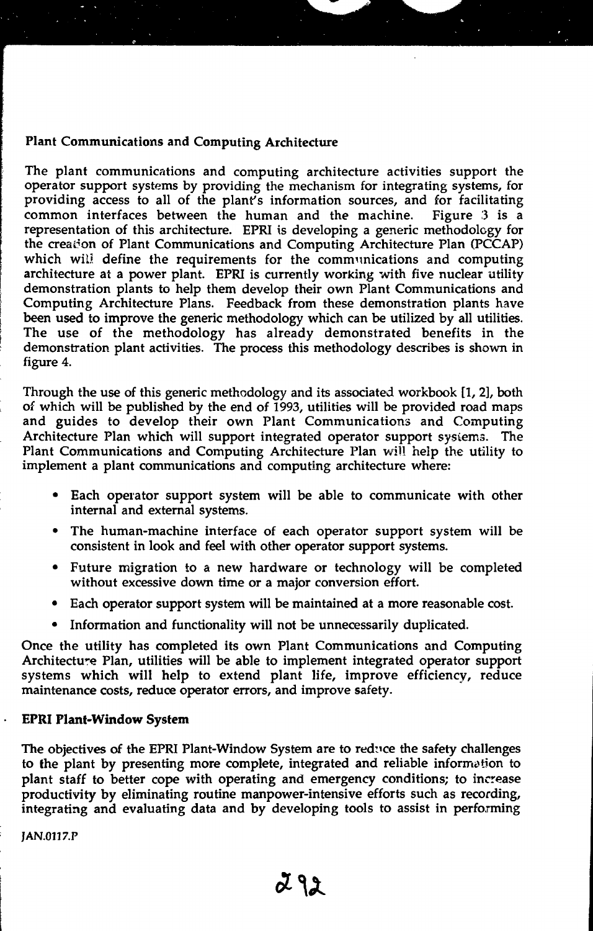#### Plant Communications and Computing Architecture

The plant communications and computing architecture activities support the operator support systems by providing the mechanism for integrating systems, for providing access to all of the plant's information sources, and for facilitating common interfaces between the human and the machine. Figure 3 is a representation of this architecture. EPRI is developing a generic methodology for the creation of Plant Communications and Computing Architecture Plan (PCCAP) which will define the requirements for the communications and computing architecture at a power plant. EPRI is currently working with five nuclear utility demonstration plants to help them develop their own Plant Communications and Computing Architecture Plans. Feedback from these demonstration plants have been used to improve the generic methodology which can be utilized by all utilities. The use of the methodology has already demonstrated benefits in the demonstration plant activities. The process this methodology describes is shown in figure 4.

Through the use of this generic methodology and its associated workbook [1, 2], both of which will be published by the end of 1993, utilities will be provided road maps and guides to develop their own Plant Communications and Computing Architecture Plan which will support integrated operator support systems. The Plant Communications and Computing Architecture Plan will help the utility to implement a plant communications and computing architecture where:

- Each operator support system will be able to communicate with other internal and external systems.
- The human-machine interface of each operator support system will be consistent in look and feel with other operator support systems.
- Future migration to a new hardware or technology will be completed without excessive down time or a major conversion effort.
- Each operator support system will be maintained at a more reasonable cost.
- Information and functionality will not be unnecessarily duplicated.

Once the utility has completed its own Plant Communications and Computing Architecture Plan, utilities will be able to implement integrated operator support systems which will help to extend plant life, improve efficiency, reduce maintenance costs, reduce operator errors, and improve safety.

#### **EPRI Plant-Window System**

The objectives of the EPRI Plant-Window System are to reduce the safety challenges to the plant by presenting more complete, integrated and reliable information to plant staff to better cope with operating and emergency conditions; to increase productivity by eliminating routine manpower-intensive efforts such as recording, integrating and evaluating data and by developing tools to assist in performing

JAN.011*7.P*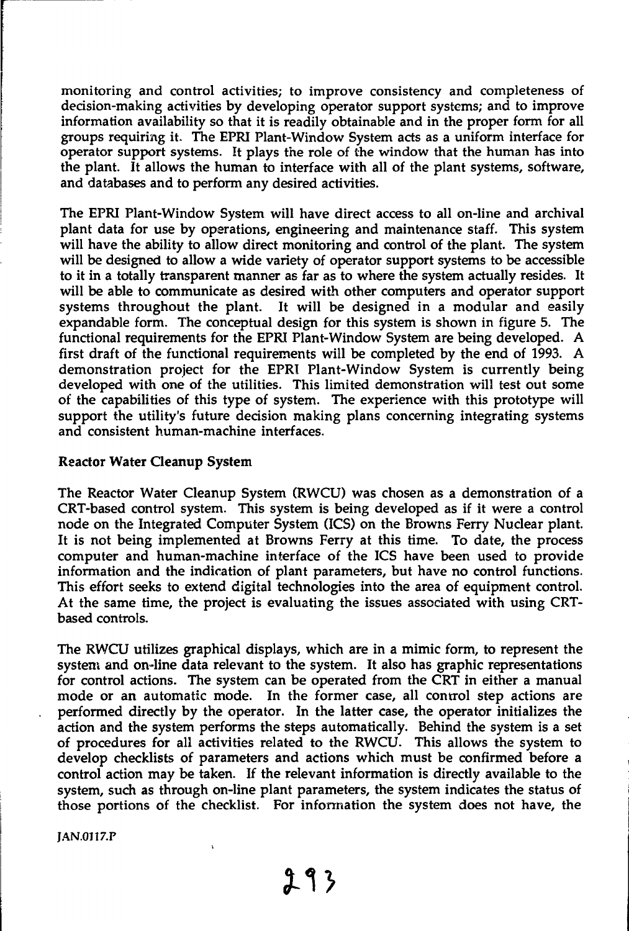monitoring and control activities; to improve consistency and completeness of decision-making activities by developing operator support systems; and to improve information availability so that it is readily obtainable and in the proper form for all groups requiring it. The EPRI Plant-Window System acts as a uniform interface for operator support systems. It plays the role of the window that the human has into the plant. It allows the human to interface with all of the plant systems, software, and databases and to perform any desired activities.

The EPRI Plant-Window System will have direct access to all on-line and archival plant data for use by operations, engineering and maintenance staff. This system will have the ability to allow direct monitoring and control of the plant. The system will be designed to allow a wide variety of operator support systems to be accessible to it in a totally transparent manner as far as to where the system actually resides. It will be able to communicate as desired with other computers and operator support systems throughout the plant. It will be designed in a modular and easily expandable form. The conceptual design for this system is shown in figure 5. The functional requirements for the EPRI Plant-Window System are being developed. A first draft of the functional requirements will be completed by the end of 1993. A demonstration project for the EPRI Plant-Window System is currently being developed with one of the utilities. This limited demonstration will test out some of the capabilities of this type of system. The experience with this prototype will support the utility's future decision making plans concerning integrating systems and consistent human-machine interfaces.

#### Reactor Water Cleanup System

The Reactor Water Cleanup System (RWCU) was chosen as a demonstration of a CRT-based control system. This system is being developed as if it were a control node on the Integrated Computer System (ICS) on the Browns Ferry Nuclear plant. It is not being implemented at Browns Ferry at this time. To date, the process computer and human-machine interface of the ICS have been used to provide information and the indication of plant parameters, but have no control functions. This effort seeks to extend digital technologies into the area of equipment control. At the same time, the project is evaluating the issues associated with using CRTbased controls.

The RWCU utilizes graphical displays, which are in a mimic form, to represent the system and on-line data relevant to the system. It also has graphic representations for control actions. The system can be operated from the CRT in either a manual mode or an automatic mode. In the former case, all control step actions are performed directly by the operator. In the latter case, the operator initializes the action and the system performs the steps automatically. Behind the system is a set of procedures for all activities related to the RWCU. This allows the system to develop checklists of parameters and actions which must be confirmed before a control action may be taken. If the relevant information is directly available to the system, such as through on-line plant parameters, the system indicates the status of those portions of the checklist. For information the system does not have, the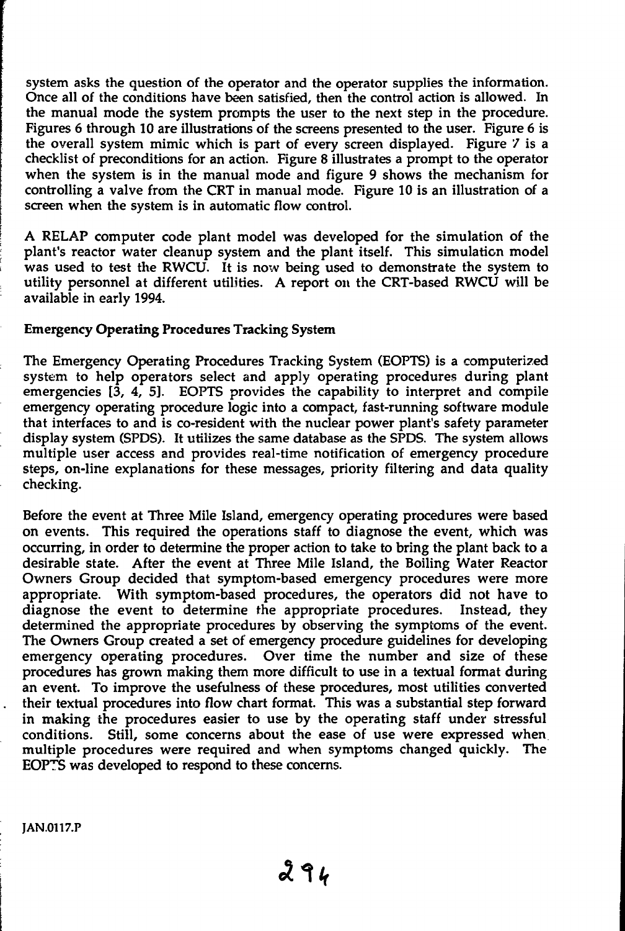system asks the question of the operator and the operator supplies the information. Once all of the conditions have been satisfied, then the control action is allowed. In the manual mode the system prompts the user to the next step in the procedure. Figures 6 through 10 are illustrations of the screens presented to the user. Figure 6 is the overall system mimic which is part of every screen displayed. Figure 7 is a checklist of preconditions for an action. Figure 8 illustrates a prompt to the operator when the system is in the manual mode and figure 9 shows the mechanism for controlling a valve from the CRT in manual mode. Figure 10 is an illustration of a screen when the system is in automatic flow control.

A RELAP computer code plant model was developed for the simulation of the plant's reactor water cleanup system and the plant itself. This simulation model was used to test the RWCU. It is now being used to demonstrate the system to utility personnel at different utilities. A report on the CRT-based RWCU will be available in early 1994.

## Emergency Operating Procedures Tracking System

The Emergency Operating Procedures Tracking System (EOPTS) is a computerized system to help operators select and apply operating procedures during plant emergencies  $[3, 4, 5]$ . EOPTS provides the capability to interpret and compile emergency operating procedure logic into a compact, fast-running software module that interfaces to and is co-resident with the nuclear power plant's safety parameter display system (SPDS). It utilizes the same database as the SPDS. The system allows multiple user access and provides real-time notification of emergency procedure steps, on-line explanations for these messages, priority filtering and data quality checking.

Before the event at Three Mile Island, emergency operating procedures were based on events. This required the operations staff to diagnose the event, which was occurring, in order to determine the proper action to take to bring the plant back to a desirable state. After the event at Three Mile Island, the Boiling Water Reactor Owners Group decided that symptom-based emergency procedures were more appropriate. With symptom-based procedures, the operators did not have to diagnose the event to determine the appropriate procedures. Instead, they determined the appropriate procedures by observing the symptoms of the event. The Owners Group created a set of emergency procedure guidelines for developing emergency operating procedures. Over time the number and size of these procedures has grown making them more difficult to use in a textual format during an event. To improve the usefulness of these procedures, most utilities converted their textual procedures into flow chart format. This was a substantial step forward in making the procedures easier to use by the operating staff under stressful conditions. Still, some concerns about the ease of use were expressed when multiple procedures were required and when symptoms changed quickly. The EOPT5 was developed to respond to these concerns.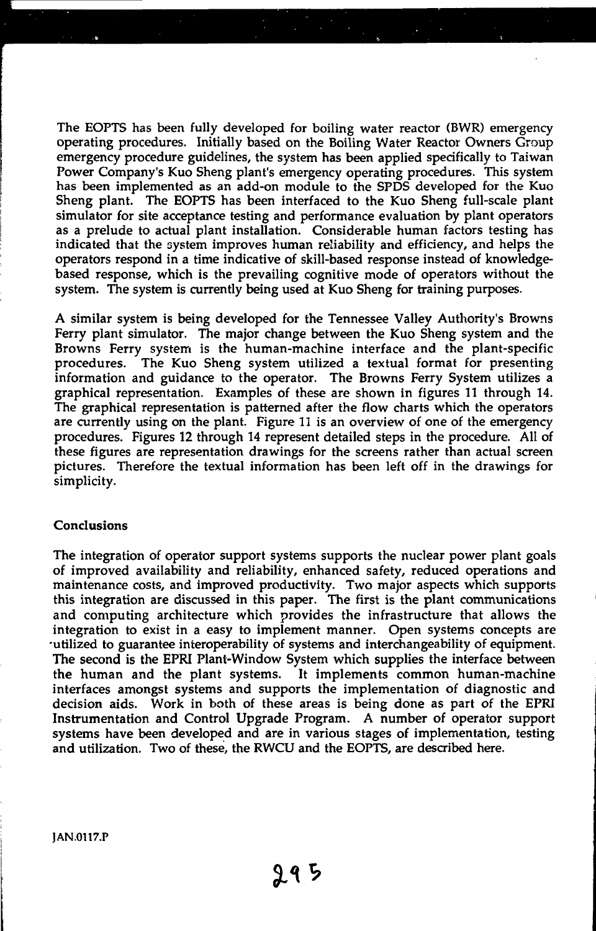The EOPTS has been fully developed for boiling water reactor (BWR) emergency operating procedures. Initially based on the Boiling Water Reactor Owners Group emergency procedure guidelines, the system has been applied specifically to Taiwan Power Company's Kuo Sheng plant's emergency operating procedures. This system has been implemented as an add-on module to the SPDS developed for the Kuo Sheng plant. The EOPTS has been interfaced to the Kuo Sheng full-scale plant simulator for site acceptance testing and performance evaluation by plant operators as a prelude to actual plant installation. Considerable human factors testing has indicated that the system improves human reliability and efficiency, and helps the operators respond in a time indicative of skill-based response instead of knowledgebased response, which is the prevailing cognitive mode of operators without the system. The system is currently being used at Kuo Sheng for training purposes.

A similar system is being developed for the Tennessee Valley Authority's Browns Ferry plant simulator. The major change between the Kuo Sheng system and the Browns Ferry system is the human-machine interface and the plant-specific procedures. The Kuo Sheng system utilized a textual format for presenting information and guidance to the operator. The Browns Ferry System utilizes a graphical representation. Examples of these are shown in figures 11 through 14. The graphical representation is patterned after the flow charts which the operators are currently using on the plant. Figure 11 is an overview of one of the emergency procedures. Figures 12 through 14 represent detailed steps in the procedure. All of these figures are representation drawings for the screens rather than actual screen pictures. Therefore the textual information has been left off in the drawings for simplicity.

#### Conclusions

The integration of operator support systems supports the nuclear power plant goals of improved availability and reliability, enhanced safety, reduced operations and maintenance costs, and improved productivity. Two major aspects which supports this integration are discussed in this paper. The first is the plant communications and computing architecture which provides the infrastructure that allows the integration to exist in a easy to implement manner. Open systems concepts are •utilized to guarantee interoperability of systems and interchangeability of equipment. The second is the EPRI Plant-Window System which supplies the interface between the human and the plant systems. It implements common human-machine interfaces amongst systems and supports the implementation of diagnostic and decision aids. Work in both of these areas is being done as part of the EPRI Instrumentation and Control Upgrade Program. A number of operator support systems have been developed and are in various stages of implementation, testing and utilization. Two of these, the RWCU and the EOPTS, are described here.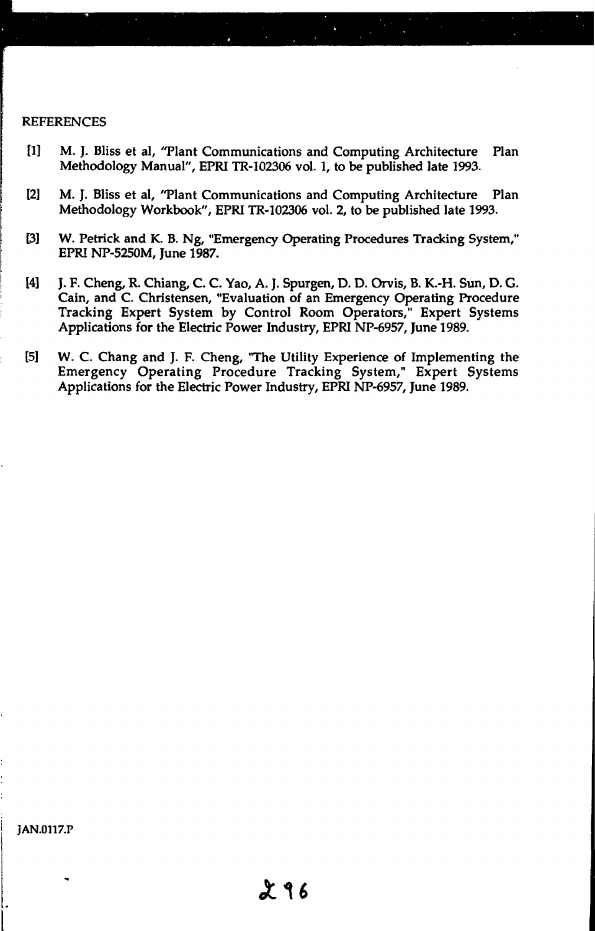#### **REFERENCES**

- [1] M. J. Bliss et al, "Plant Communications and Computing Architecture Plan Methodology Manual", EPRI TR-102306 vol. 1, to be published late 1993.
- 12] M. J. Bliss et al, "Plant Communications and Computing Architecture Plan Methodology Workbook", EPRI TR-102306 vol. 2, to be published late 1993.
- [3] W. Petrick and К. В. Ng, "Emergency Operating Procedures Tracking System," EPRI NP-5250M, June 1987.
- 14] J. F. Cheng, R. Chiang, C. C. Yao, A. J. Spurgen, D. D. Orvis, B. K.-H. Sun, D. G. Cain, and C. Christensen, "Evaluation of an Emergency Operating Procedure Tracking Expert System by Control Room Operators," Expert Systems Applications for the Electric Power Industry, EPRI NP-6957, June 1989.
- [5] W. C. Chang and J. F. Cheng, "The Utility Experience of Implementing the Emergency Operating Procedure Tracking System," Expert Systems Applications for the Electric Power Industry, EPRI NP-6957, June 1989.

**JAN.0117.P**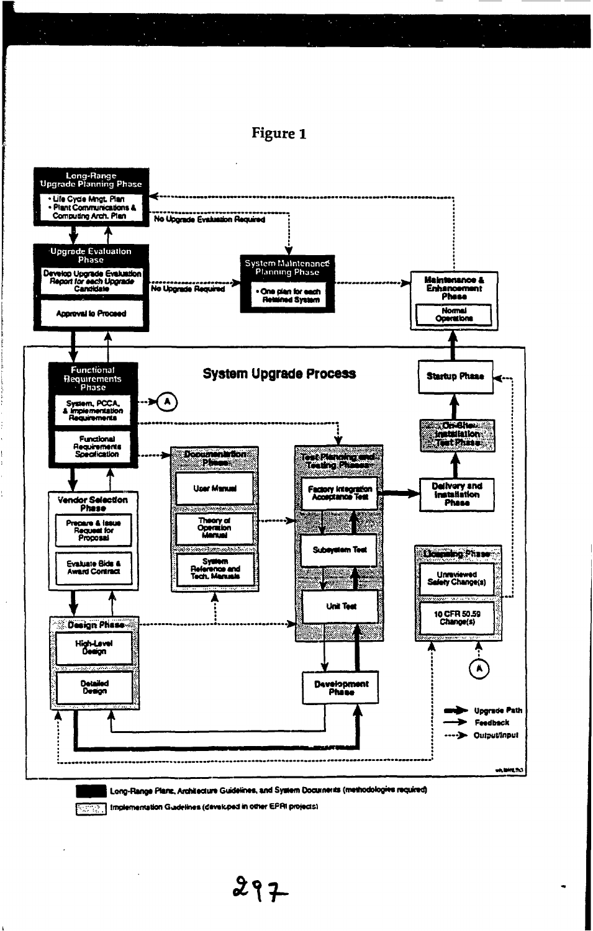

Implementation Guidelines (developed in other EPRI projects) PICTORI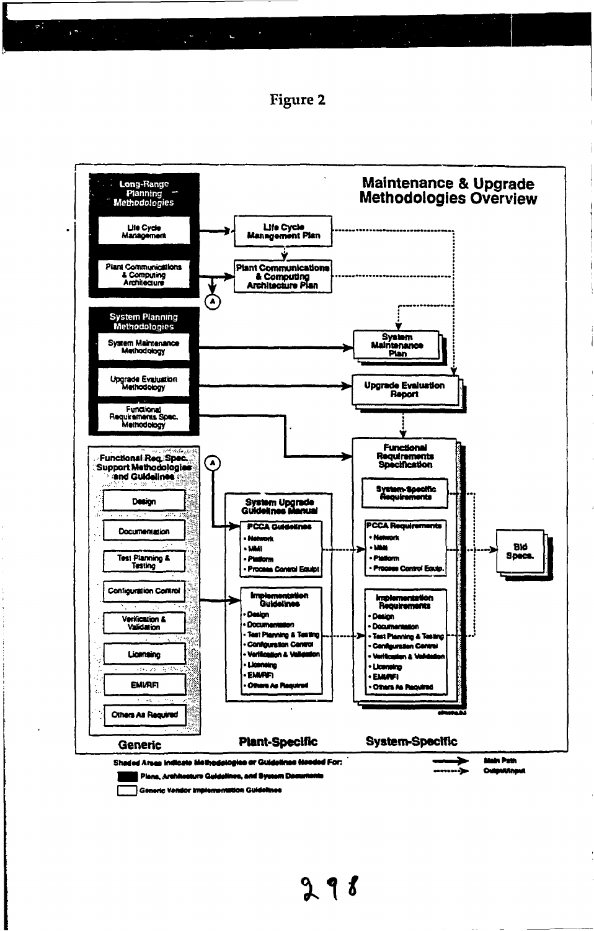



Generic Vendor Implementation Guidelines

Г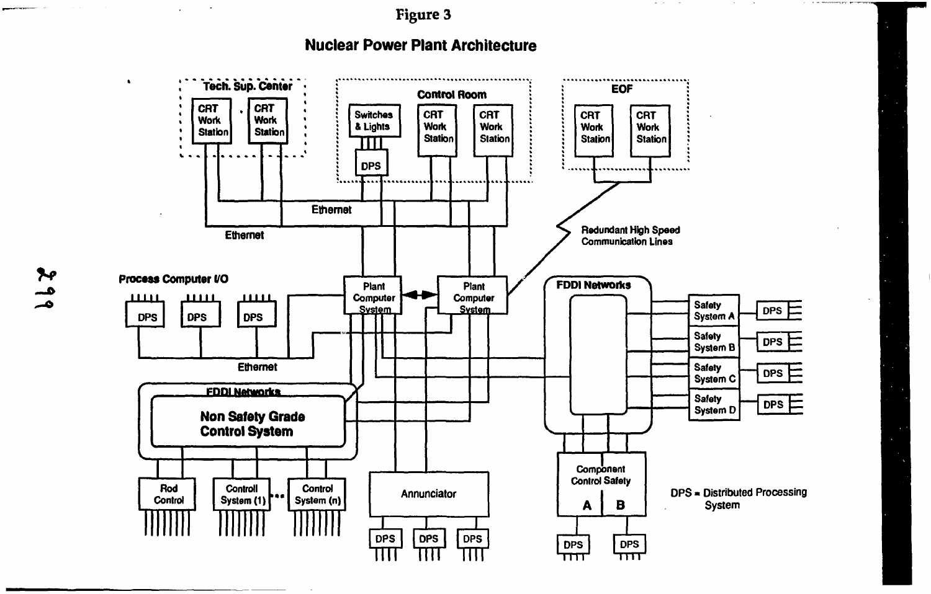$\sim$ 

# **Nuclear Power Plant Architecture**

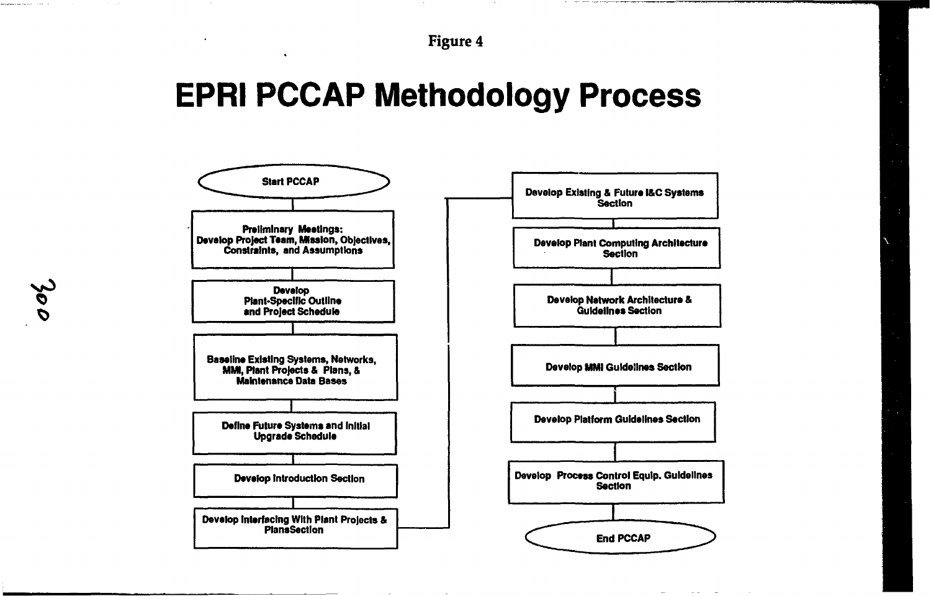# **EPRI PCCAP Methodology Process**



i<br>ool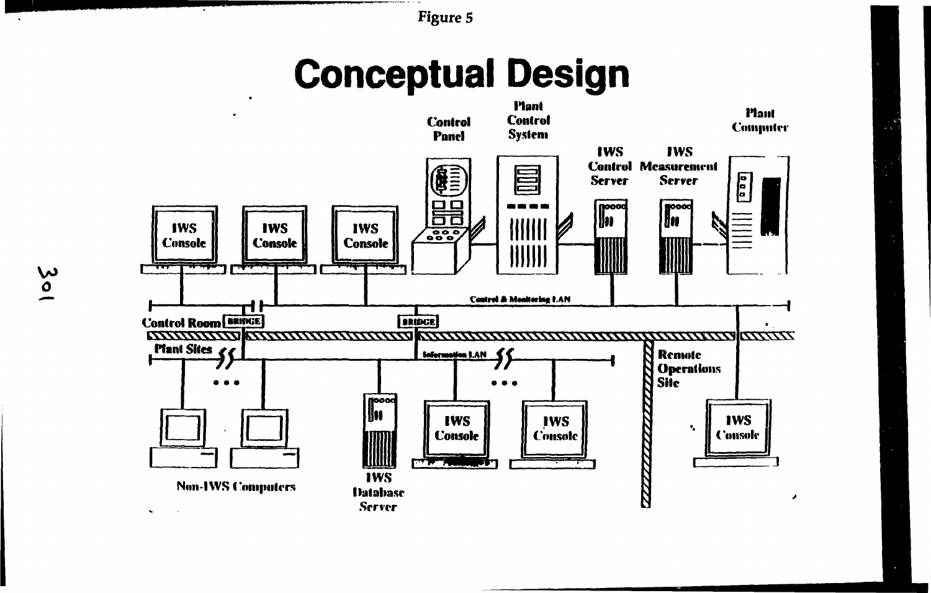# **Conceptual Design**

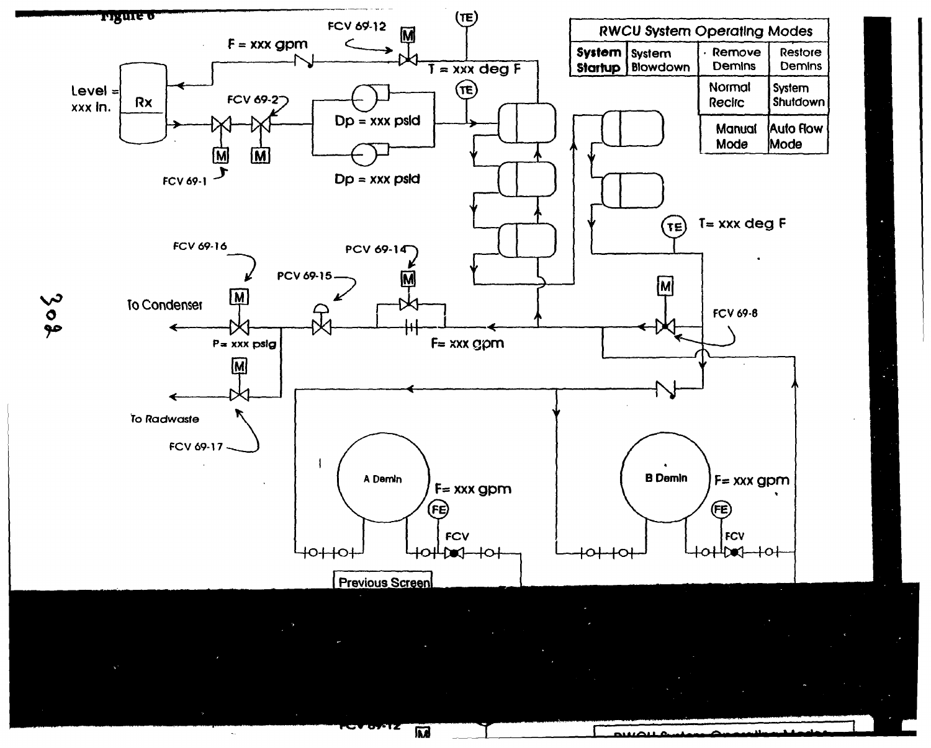

Ċ

麻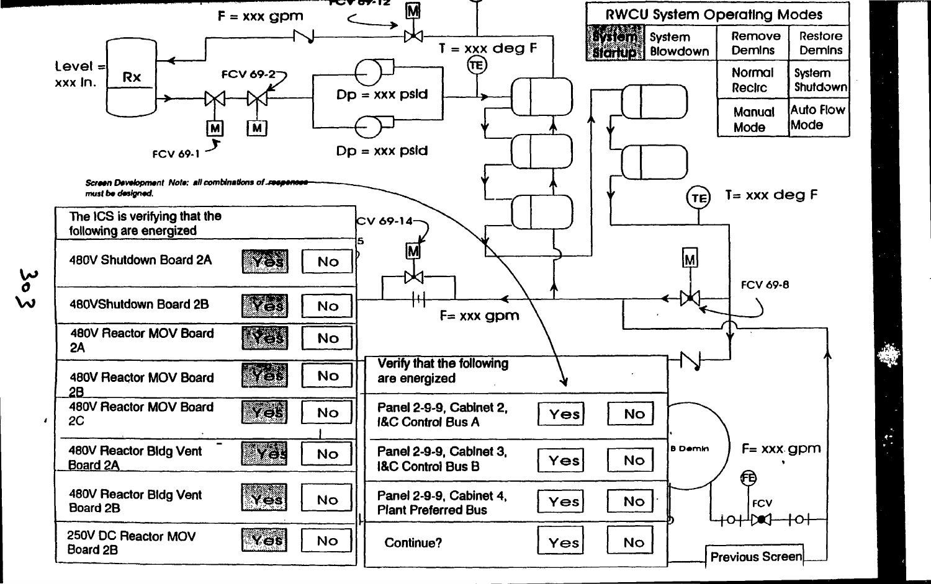

 $\frac{6}{\sigma}$  $\boldsymbol{\omega}$ 

 $\bar{\epsilon}$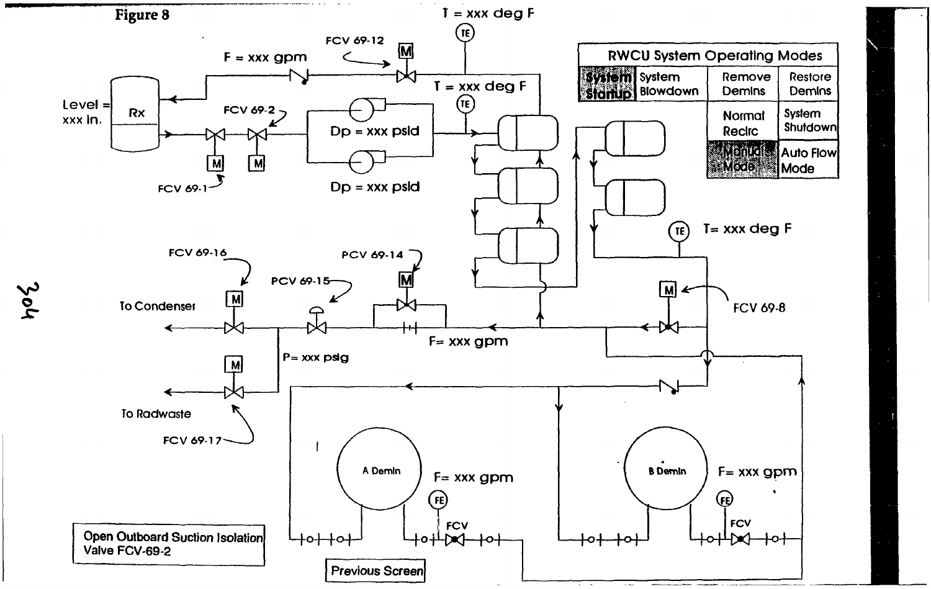

po2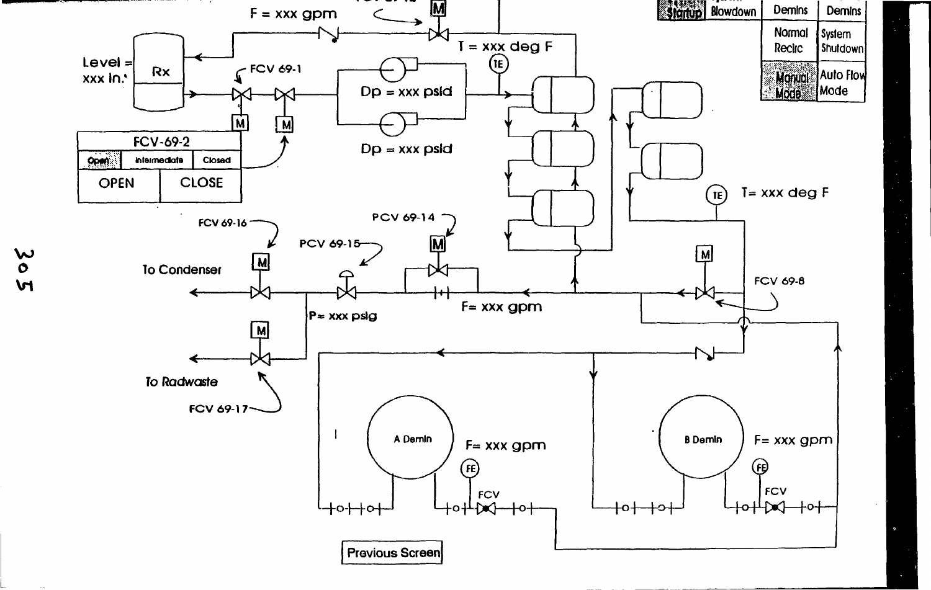

 $\overset{\sim}{\circ}$  $\mathbf{M}$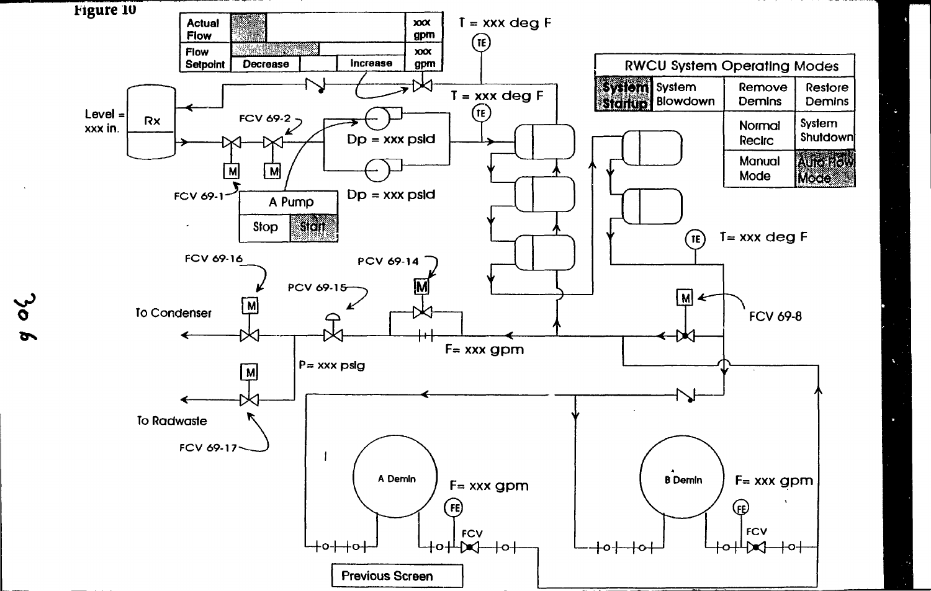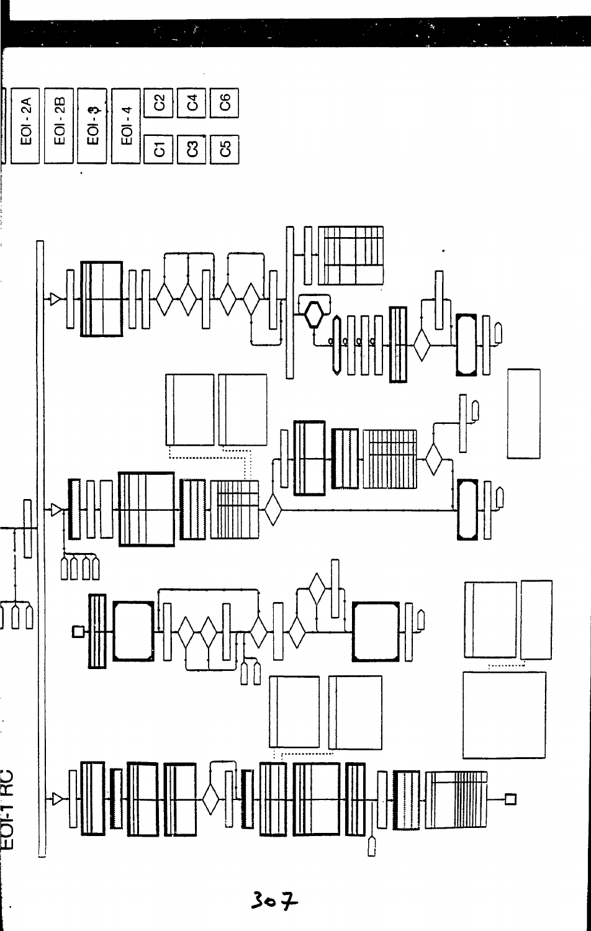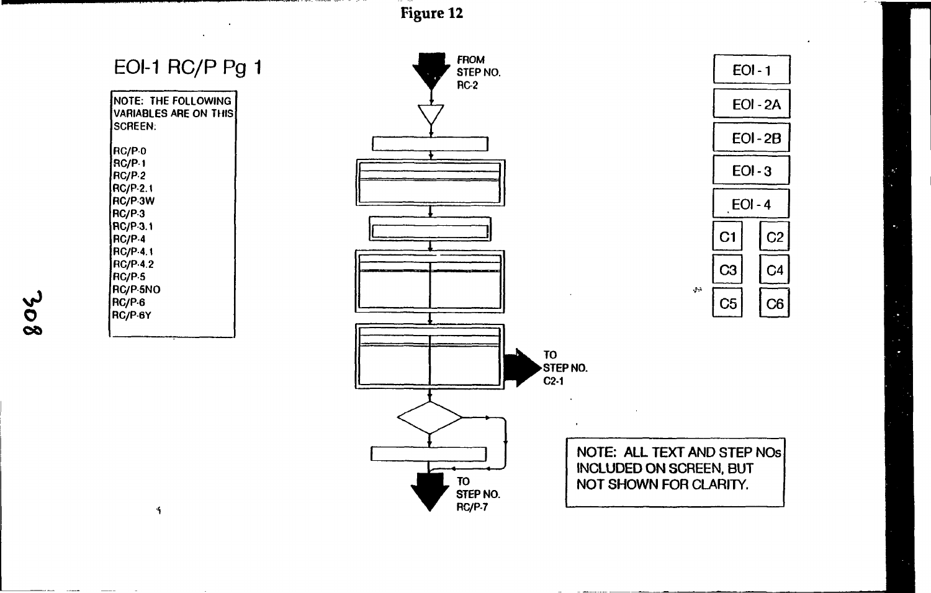| EOI-1 RC/P Pg 1 |  |
|-----------------|--|
|-----------------|--|

| NOTE: THE FOLLOWING<br><b>VARIABLES ARE ON THIS</b><br><b>SCREEN:</b>                                                                                                        |
|------------------------------------------------------------------------------------------------------------------------------------------------------------------------------|
| <b>RC/PO</b><br> RC/P-1<br>RC/P.2<br>RC/P-2.1<br> RC/P·3W<br>RC/P-3<br> RC/P-3.1<br>RC/P-4<br><b>RC/P-4.1</b><br><b>RC/P.4.2</b><br>RC/P.5]<br>RC/P-5NO<br>RC/P-6<br>RC/P-6Y |
|                                                                                                                                                                              |

 $\blacktriangleleft$ 

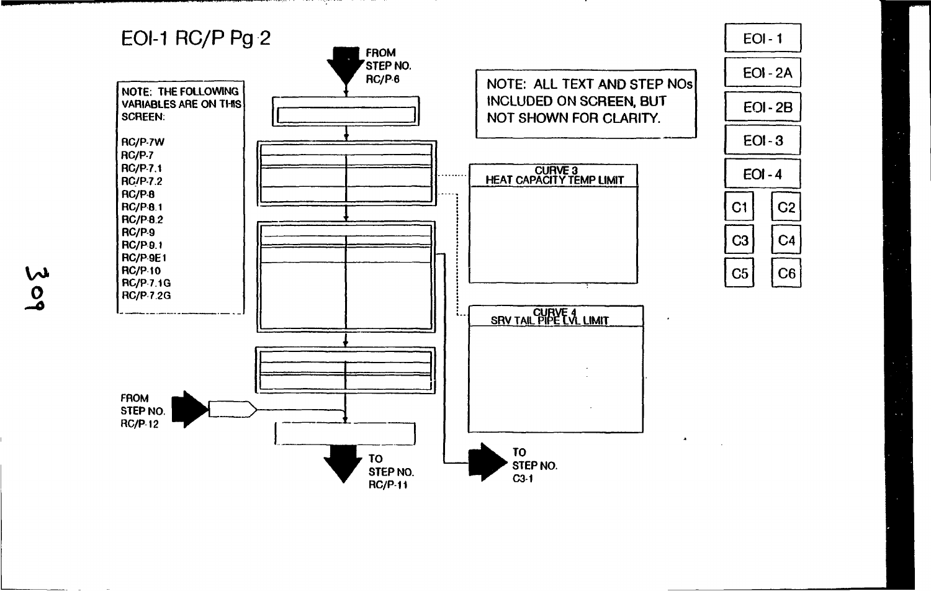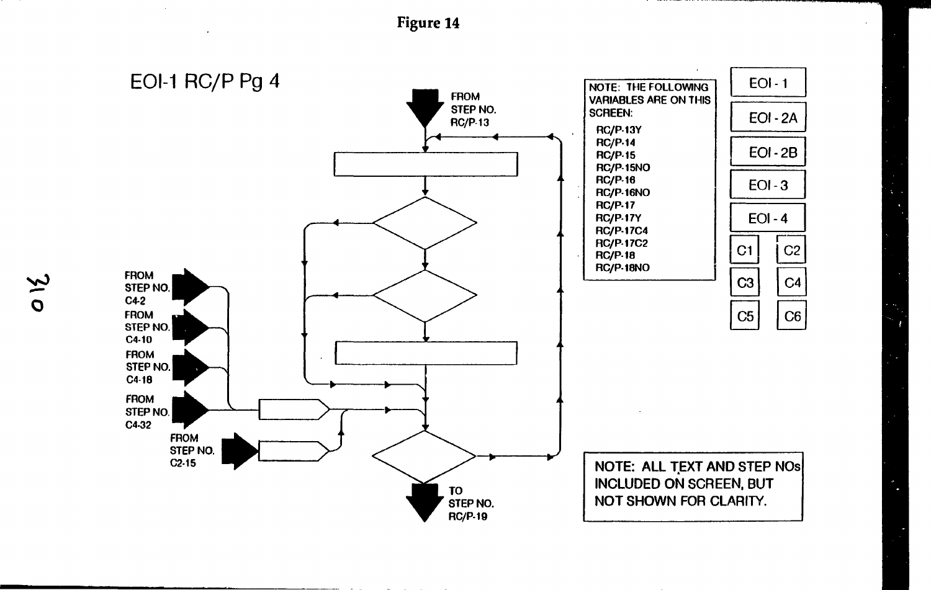**Figur e 1 4**



 $\ddot{\phantom{a}}$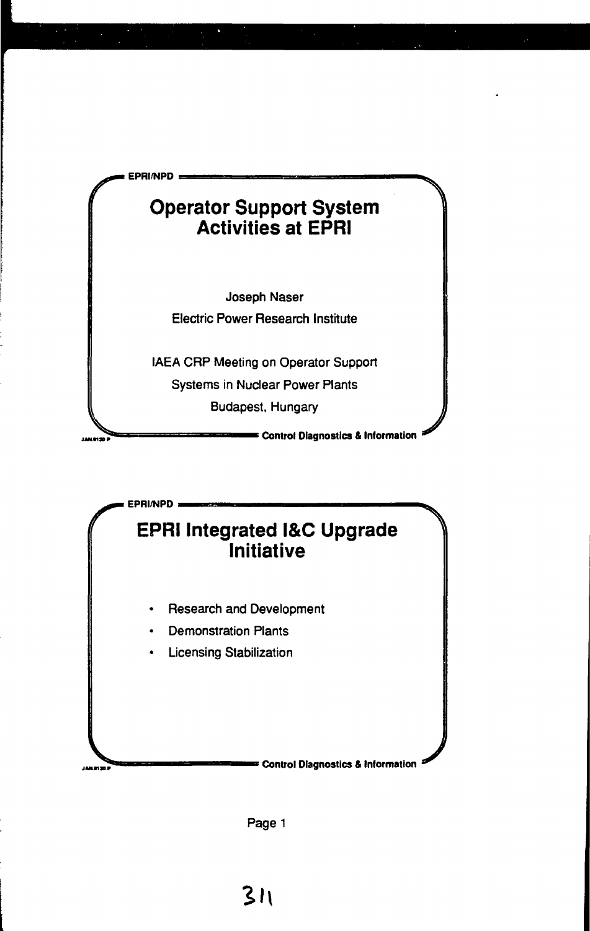



Page 1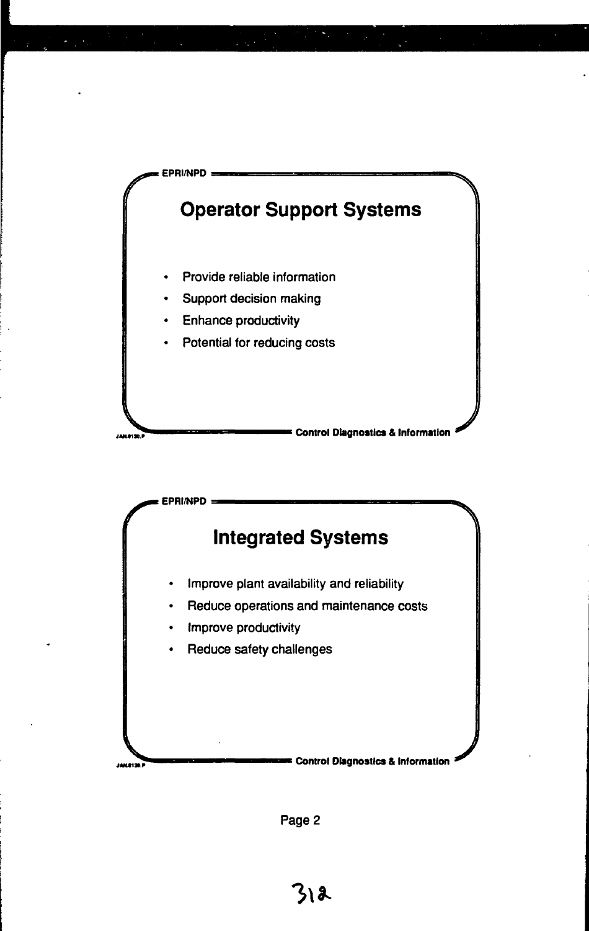



Page 2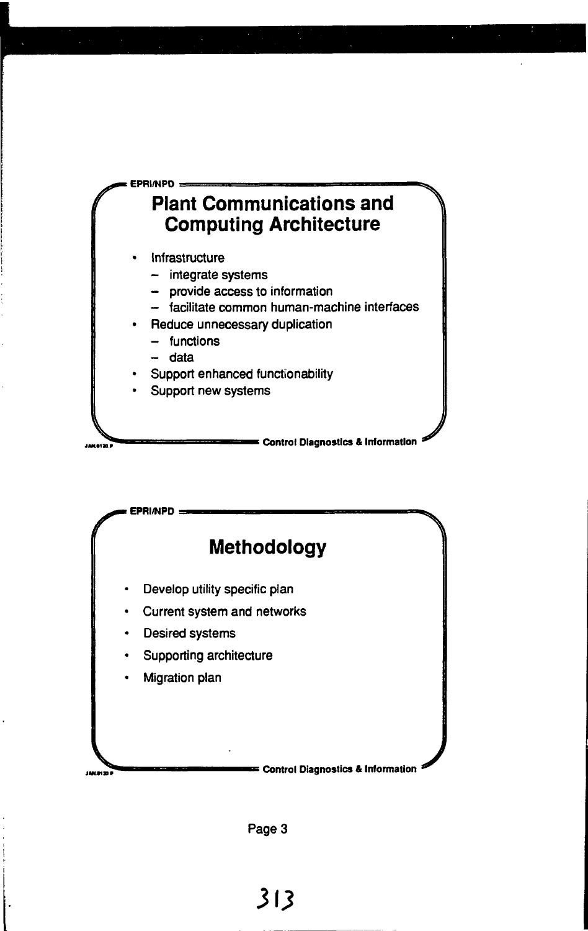



Раде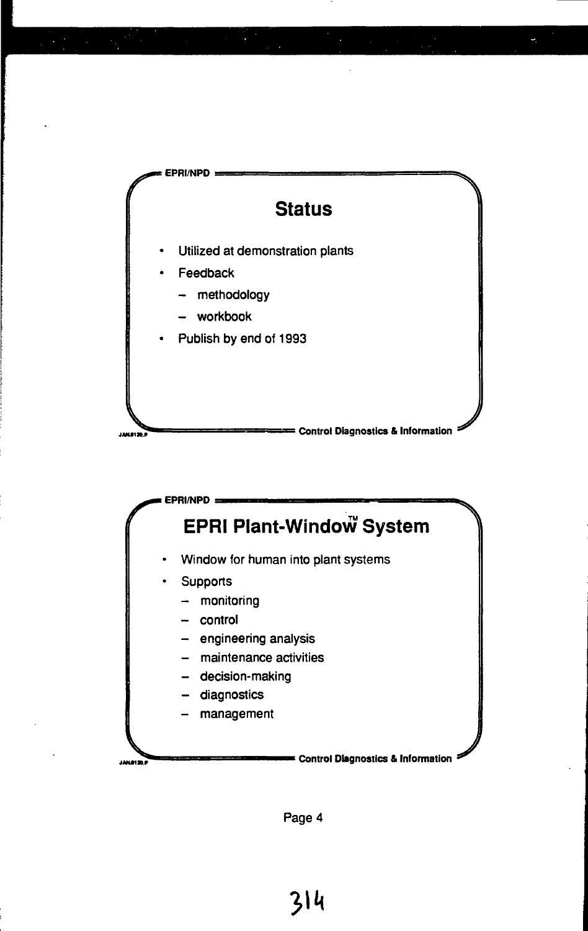

U



Page 4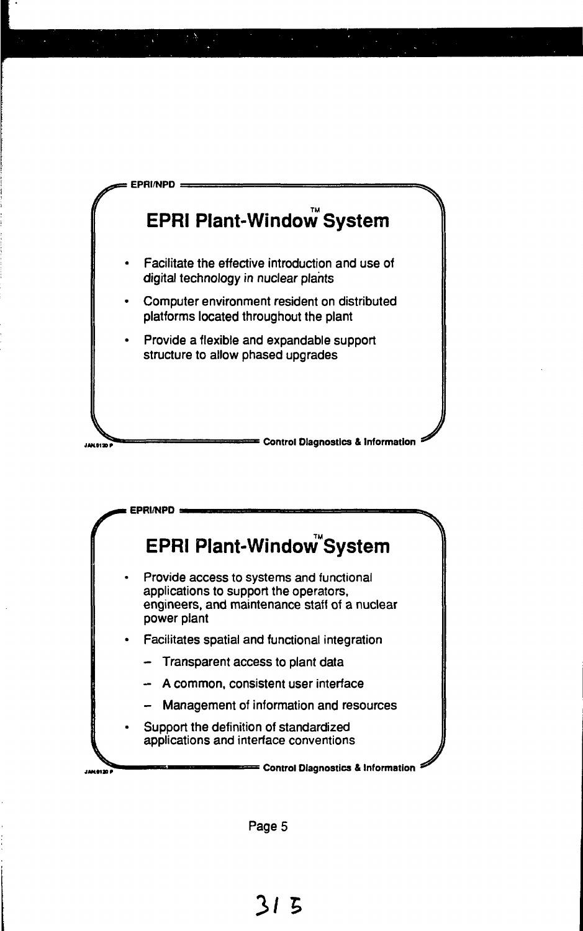



Page 5

**3 / 5**